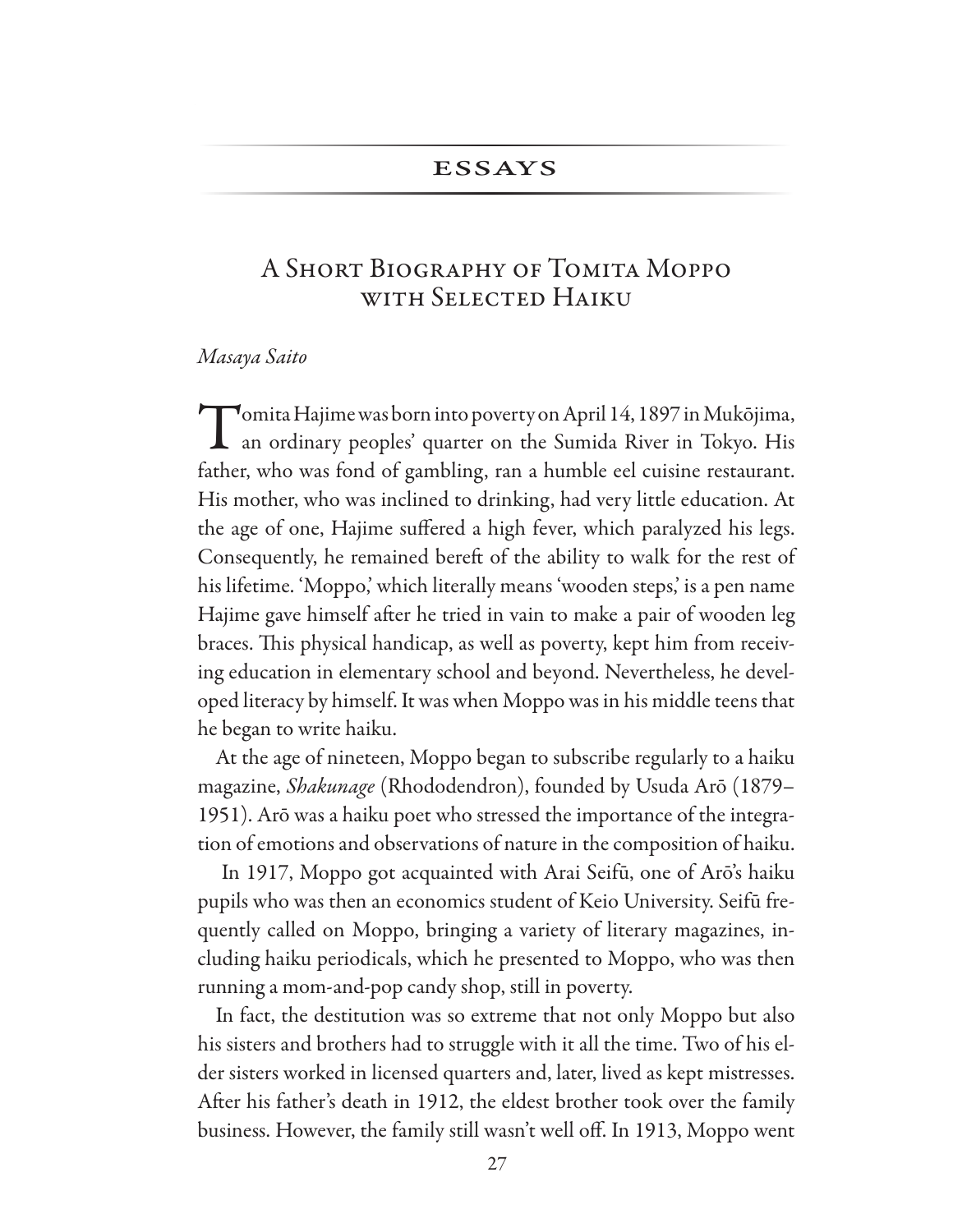### **ESSAYS**

# A SHORT BIOGRAPHY OF TOMITA MOPPO WITH SELECTED HAIKU

#### Masaya Saito

Tomita Hajime was born into poverty on April 14, 1897 in Mukōjima,  $\blacktriangle$  an ordinary peoples' quarter on the Sumida River in Tokyo. His father, who was fond of gambling, ran a humble eel cuisine restaurant. His mother, who was inclined to drinking, had very little education. At the age of one, Hajime suffered a high fever, which paralyzed his legs. Consequently, he remained bereft of the ability to walk for the rest of his lifetime. 'Moppo', which literally means 'wooden steps', is a pen name Hajime gave himself after he tried in vain to make a pair of wooden leg braces. This physical handicap, as well as poverty, kept him from receiving education in elementary school and beyond. Nevertheless, he developed literacy by himself. It was when Moppo was in his middle teens that he began to write haiku.

At the age of nineteen, Moppo began to subscribe regularly to a haiku magazine, Shakunage (Rhododendron), founded by Usuda Arō (1879– 1951). Arō was a haiku poet who stressed the importance of the integration of emotions and observations of nature in the composition of haiku.

In 1917, Moppo got acquainted with Arai Seifū, one of Arō's haiku pupils who was then an economics student of Keio University. Seifu frequently called on Moppo, bringing a variety of literary magazines, including haiku periodicals, which he presented to Moppo, who was then running a mom-and-pop candy shop, still in poverty.

In fact, the destitution was so extreme that not only Moppo but also his sisters and brothers had to struggle with it all the time. Two of his elder sisters worked in licensed quarters and, later, lived as kept mistresses. After his father's death in 1912, the eldest brother took over the family business. However, the family still wasn't well off. In 1913, Moppo went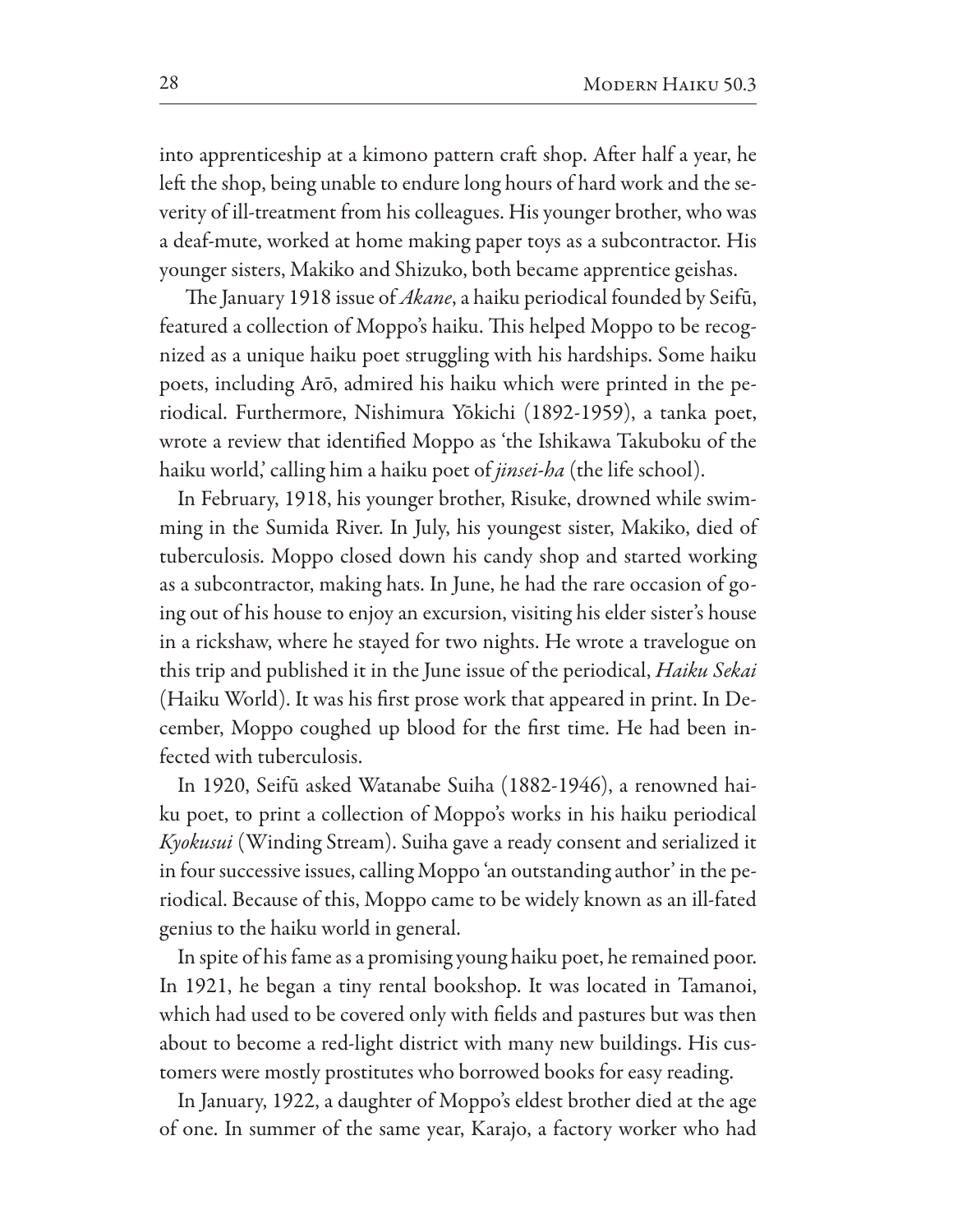into apprenticeship at a kimono pattern craft shop. After half a year, he left the shop, being unable to endure long hours of hard work and the severity of ill-treatment from his colleagues. His younger brother, who was a deaf-mute, worked at home making paper toys as a subcontractor. His younger sisters, Makiko and Shizuko, both became apprentice geishas.

The January 1918 issue of *Akane*, a haiku periodical founded by Seifū, featured a collection of Moppo's haiku. This helped Moppo to be recognized as a unique haiku poet struggling with his hardships. Some haiku poets, including Arō, admired his haiku which were printed in the periodical. Furthermore, Nishimura Yōkichi (1892-1959), a tanka poet, wrote a review that identifed Moppo as 'the Ishikawa Takuboku of the haiku world,' calling him a haiku poet of *jinsei-ha* (the life school).

In February, 1918, his younger brother, Risuke, drowned while swimming in the Sumida River. In July, his youngest sister, Makiko, died of tuberculosis. Moppo closed down his candy shop and started working as a subcontractor, making hats. In June, he had the rare occasion of going out of his house to enjoy an excursion, visiting his elder sister's house in a rickshaw, where he stayed for two nights. He wrote a travelogue on this trip and published it in the June issue of the periodical, *Haiku Sekai* (Haiku World). It was his first prose work that appeared in print. In December, Moppo coughed up blood for the frst time. He had been infected with tuberculosis.

In 1920, Seifū asked Watanabe Suiha (1882-1946), a renowned haiku poet, to print a collection of Moppo's works in his haiku periodical *Kyokusui* (Winding Stream). Suiha gave a ready consent and serialized it in four successive issues, calling Moppo 'an outstanding author' in the periodical. Because of this, Moppo came to be widely known as an ill-fated genius to the haiku world in general.

In spite of his fame as a promising young haiku poet, he remained poor. In 1921, he began a tiny rental bookshop. It was located in Tamanoi, which had used to be covered only with felds and pastures but was then about to become a red-light district with many new buildings. His customers were mostly prostitutes who borrowed books for easy reading.

In January, 1922, a daughter of Moppo's eldest brother died at the age of one. In summer of the same year, Karajo, a factory worker who had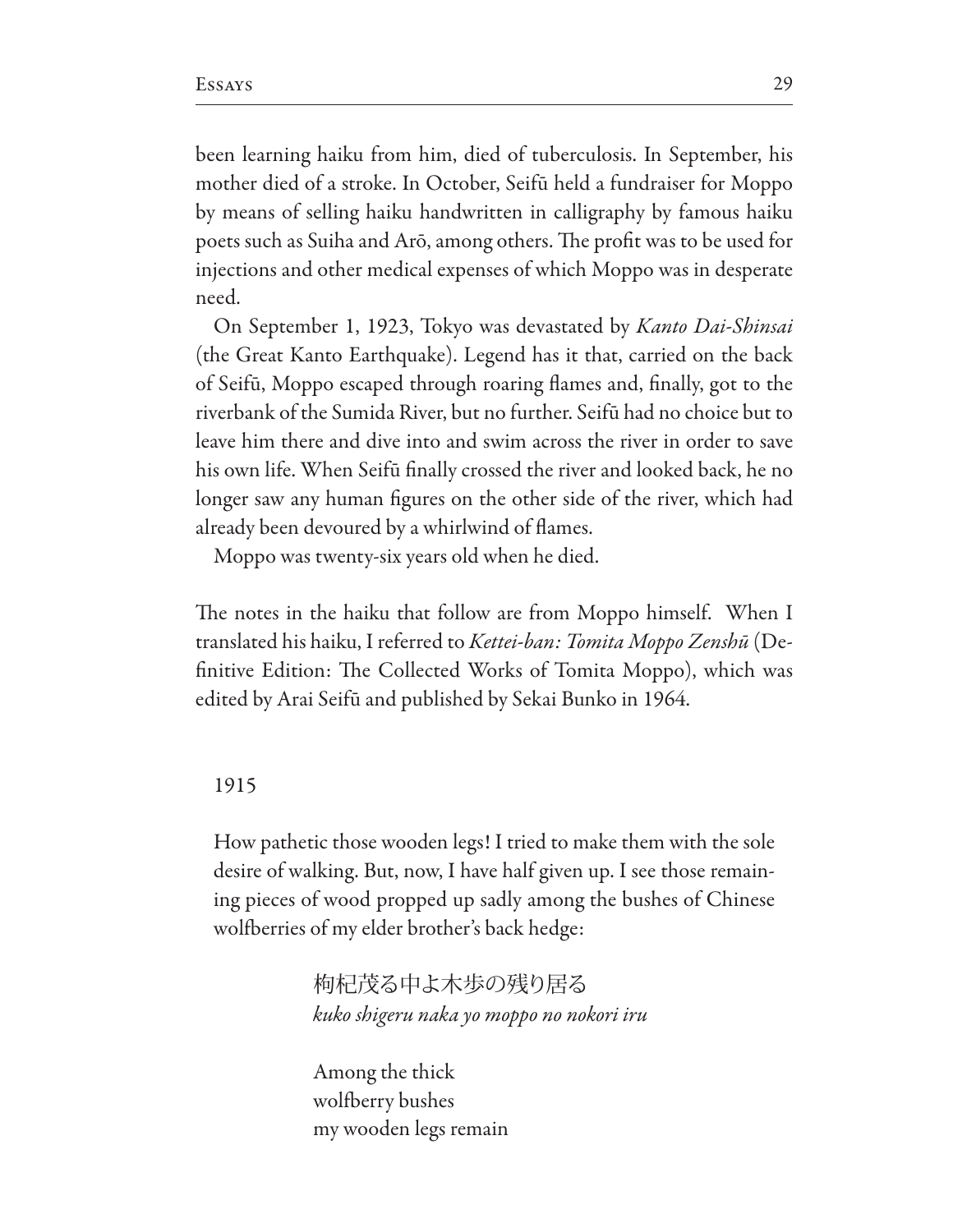been learning haiku from him, died of tuberculosis. In September, his mother died of a stroke. In October, Seifū held a fundraiser for Moppo by means of selling haiku handwritten in calligraphy by famous haiku poets such as Suiha and Arō, among others. The profit was to be used for injections and other medical expenses of which Moppo was in desperate need.

On September 1, 1923, Tokyo was devastated by *Kanto Dai-Shinsai* (the Great Kanto Earthquake). Legend has it that, carried on the back of Seifū, Moppo escaped through roaring fames and, fnally, got to the riverbank of the Sumida River, but no further. Seifū had no choice but to leave him there and dive into and swim across the river in order to save his own life. When Seifū fnally crossed the river and looked back, he no longer saw any human fgures on the other side of the river, which had already been devoured by a whirlwind of fames.

Moppo was twenty-six years old when he died.

The notes in the haiku that follow are from Moppo himself. When I translated his haiku, I referred to *Kettei-ban: Tomita Moppo Zenshū* (Definitive Edition: The Collected Works of Tomita Moppo), which was edited by Arai Seifū and published by Sekai Bunko in 1964.

### 1915

How pathetic those wooden legs! I tried to make them with the sole desire of walking. But, now, I have half given up. I see those remaining pieces of wood propped up sadly among the bushes of Chinese wolfberries of my elder brother's back hedge:

> 枸杞茂る中よ木歩の残り居る *kuko shigeru naka yo moppo no nokori iru*

Among the thick wolfberry bushes my wooden legs remain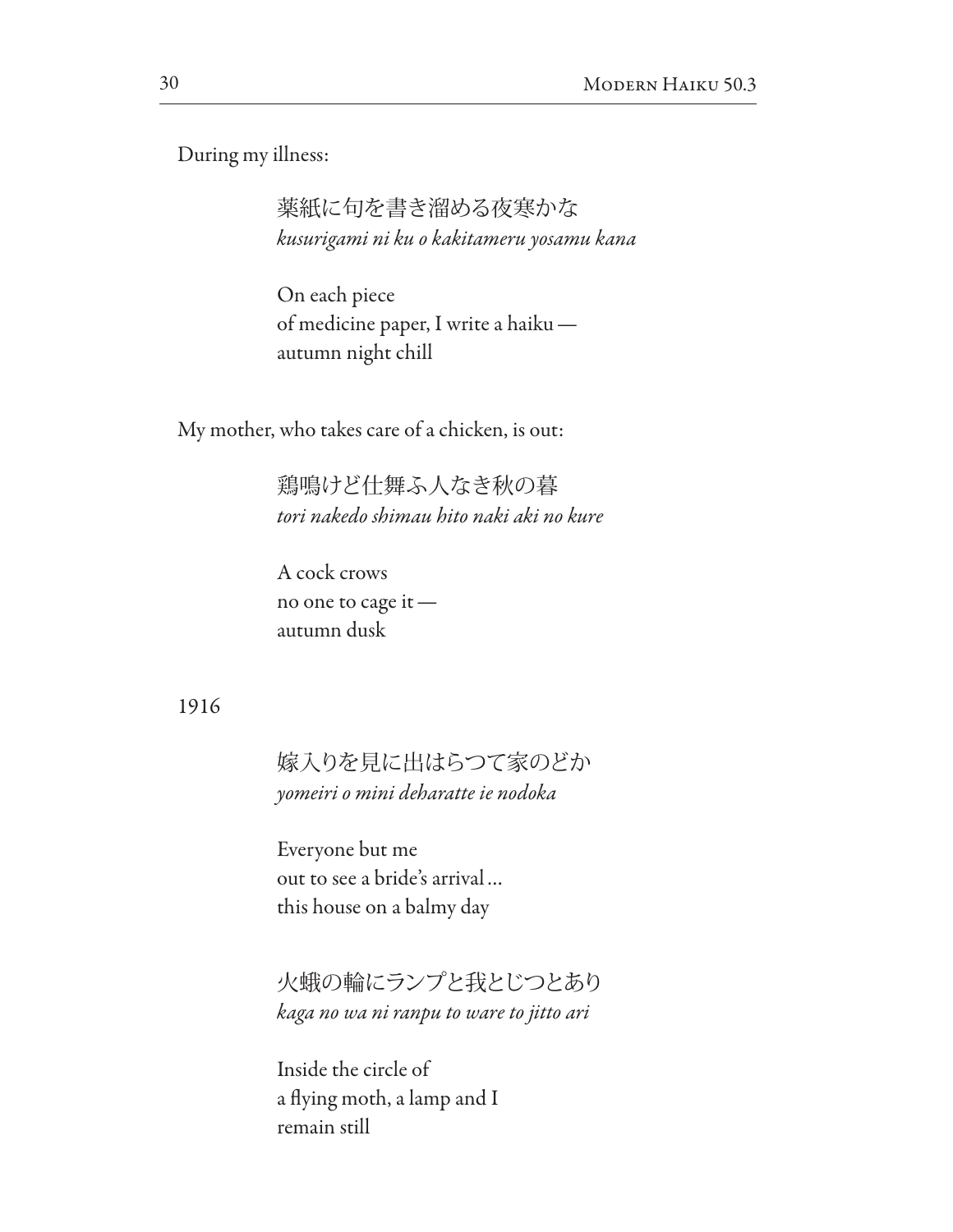During my illness:

薬紙に句を書き溜める夜寒かな *kusurigami ni ku o kakitameru yosamu kana*

On each piece of medicine paper, I write a haiku autumn night chill

My mother, who takes care of a chicken, is out:

鶏鳴けど仕舞ふ人なき秋の暮 *tori nakedo shimau hito naki aki no kure*

A cock crows no one to cage it autumn dusk

#### 1916

嫁入りを見に出はらつて家のどか *yomeiri o mini deharatte ie nodoka*

Everyone but me out to see a bride's arrival… this house on a balmy day

火蛾の輪にランプと我とじつとあり *kaga no wa ni ranpu to ware to jitto ari*

Inside the circle of a fying moth, a lamp and I remain still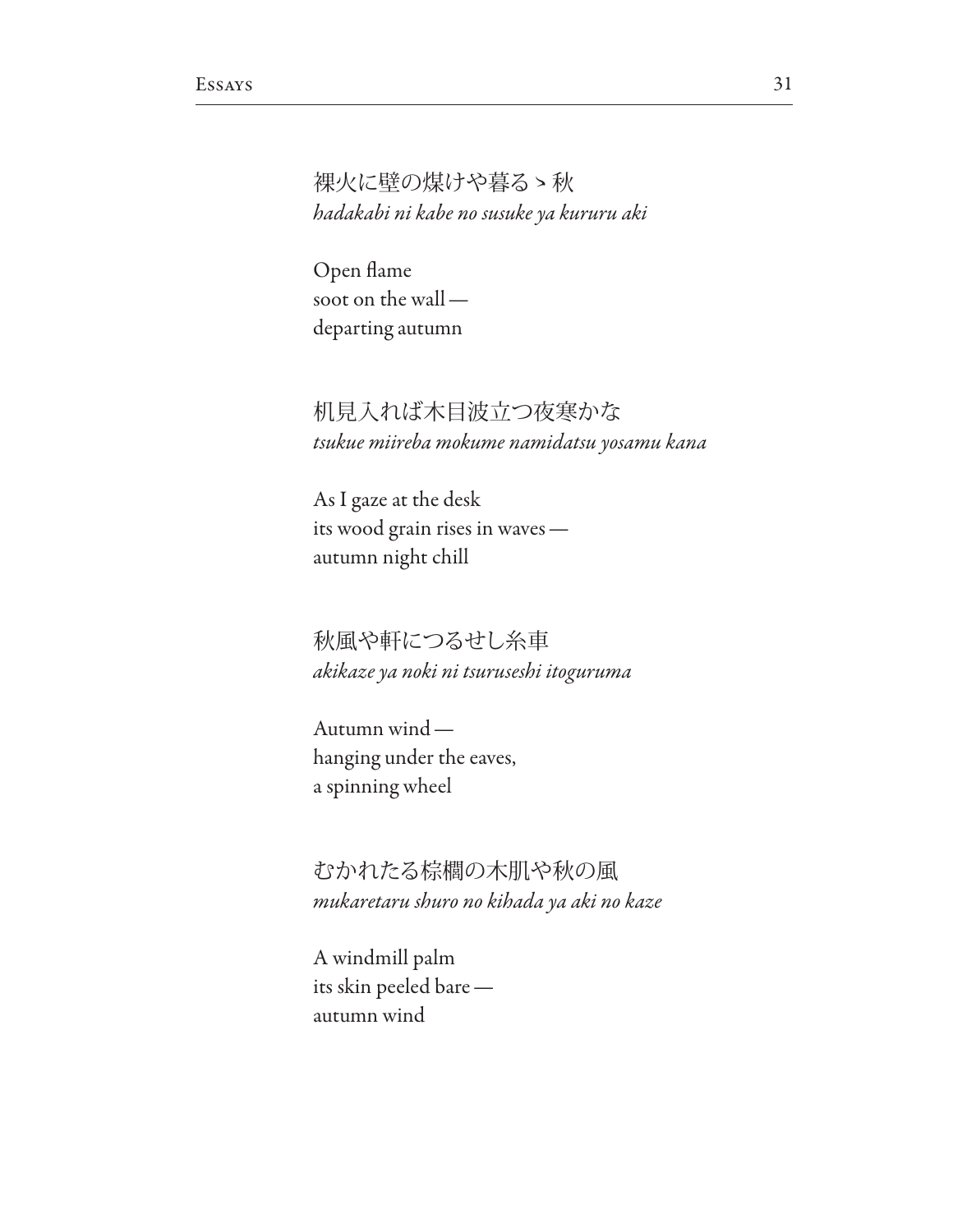裸火に壁の煤けや暮るゝ秋 hadakabi ni kabe no susuke ya kururu aki

Open flame soot on the walldeparting autumn

机見入れば木目波立つ夜寒かな tsukue miireba mokume namidatsu yosamu kana

As I gaze at the desk its wood grain rises in waves autumn night chill

秋風や軒につるせし糸車 akikaze ya noki ni tsuruseshi itoguruma

Autumn windhanging under the eaves, a spinning wheel

むかれたる棕櫚の木肌や秋の風 mukaretaru shuro no kihada ya aki no kaze

A windmill palm its skin peeled bare autumn wind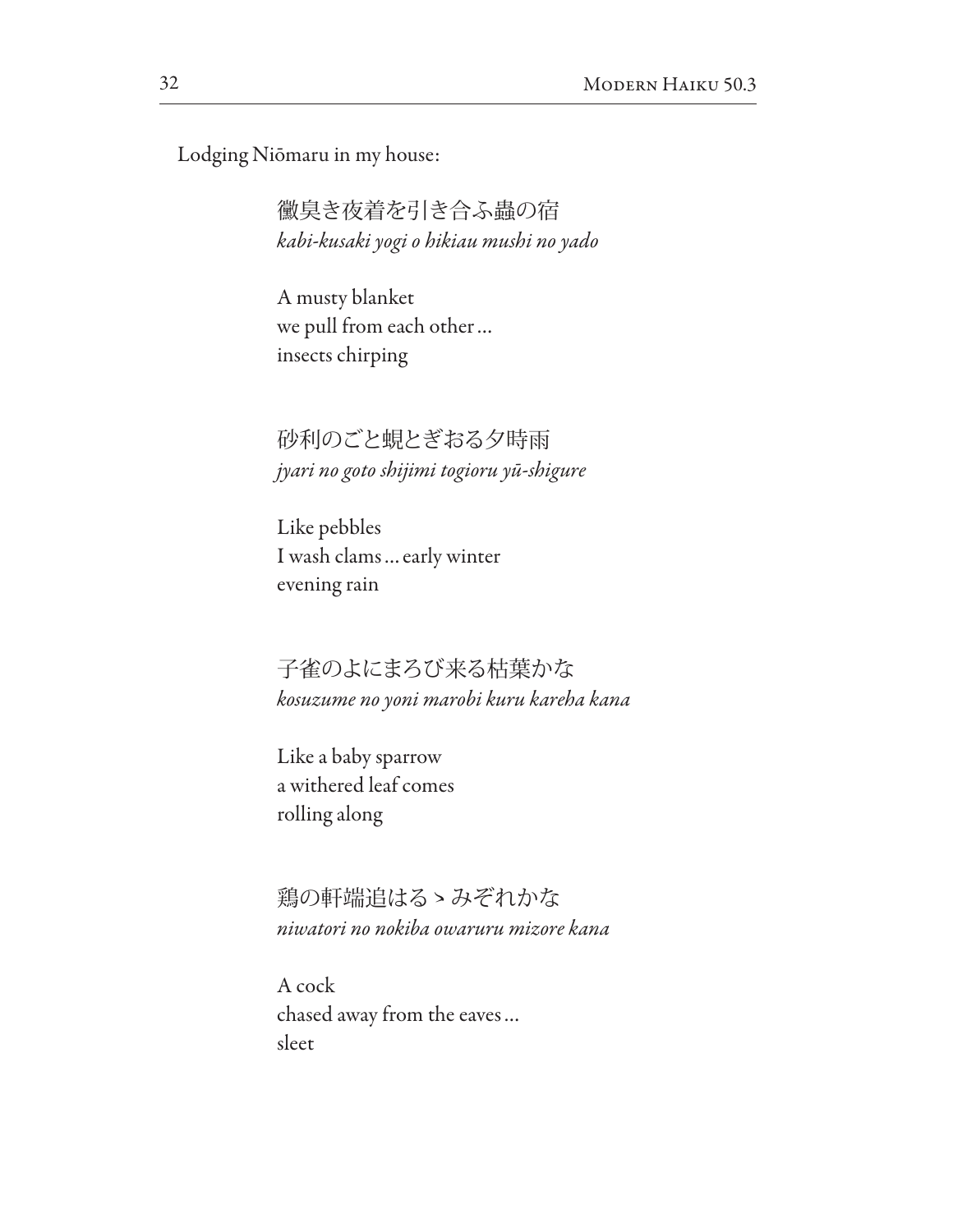Lodging Niōmaru in my house:

黴臭き夜着を引き合ふ蟲の宿 *kabi-kusaki yogi o hikiau mushi no yado*

A musty blanket we pull from each other… insects chirping

砂利のごと蜆とぎおる夕時雨 *jyari no goto shijimi togioru y*ū*-shigure*

Like pebbles I wash clams…early winter evening rain

子雀のよにまろび来る枯葉かな *kosuzume no yoni marobi kuru kareha kana*

Like a baby sparrow a withered leaf comes rolling along

鶏の軒端追はるゝみぞれかな *niwatori no nokiba owaruru mizore kana*

A cock chased away from the eaves… sleet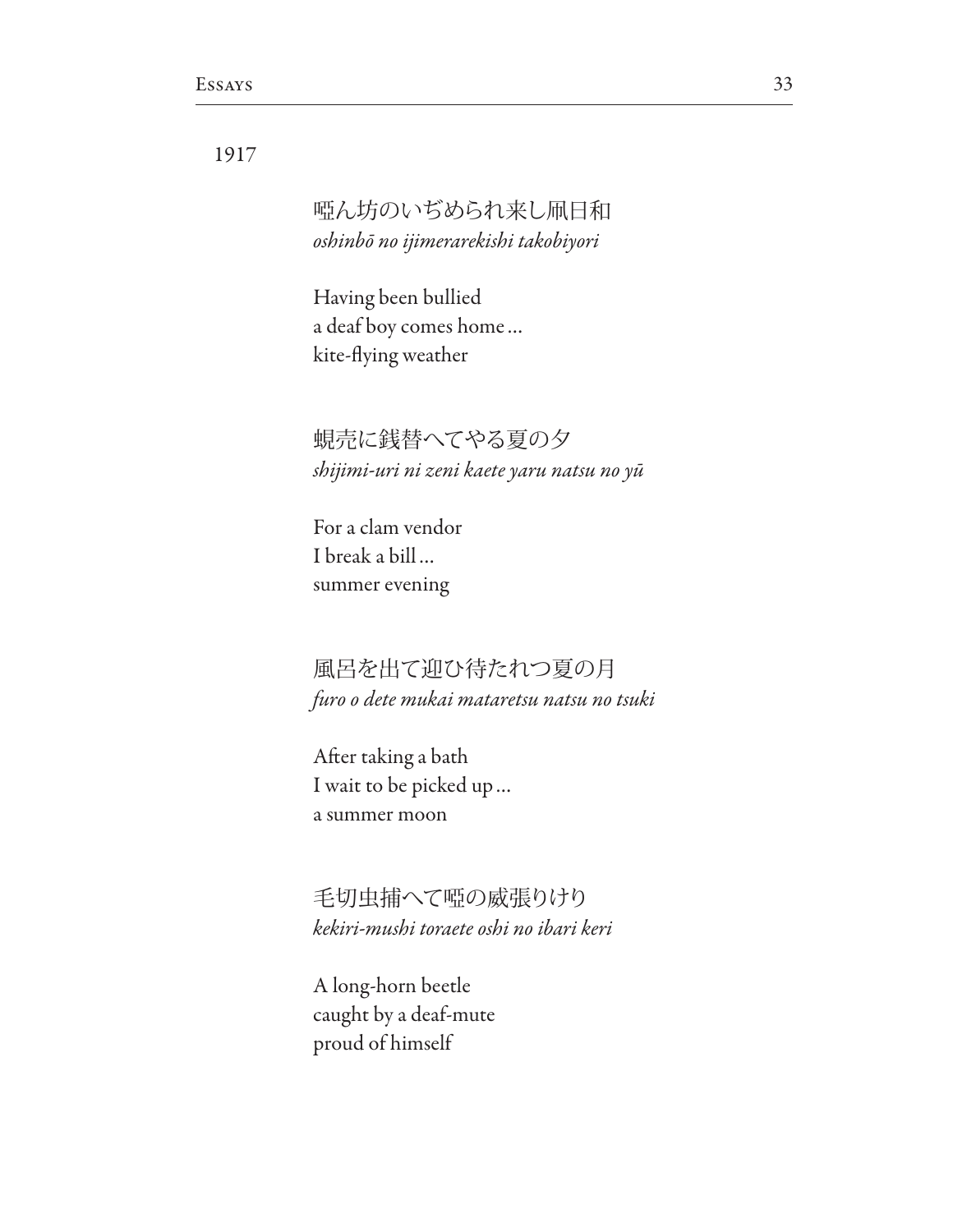## 1917

# 啞ん坊のいぢめられ来し凧日和 *oshinb*ō *no ijimerarekishi takobiyori*

Having been bullied a deaf boy comes home… kite-fying weather

蜆売に銭替へてやる夏の夕 *shijimi-uri ni zeni kaete yaru natsu no y*ū

For a clam vendor I break a bill… summer evening

風呂を出て迎ひ待たれつ夏の月 *furo o dete mukai mataretsu natsu no tsuki*

Afer taking a bath I wait to be picked up… a summer moon

毛切虫捕へて啞の威張りけり *kekiri-mushi toraete oshi no ibari keri*

A long-horn beetle caught by a deaf-mute proud of himself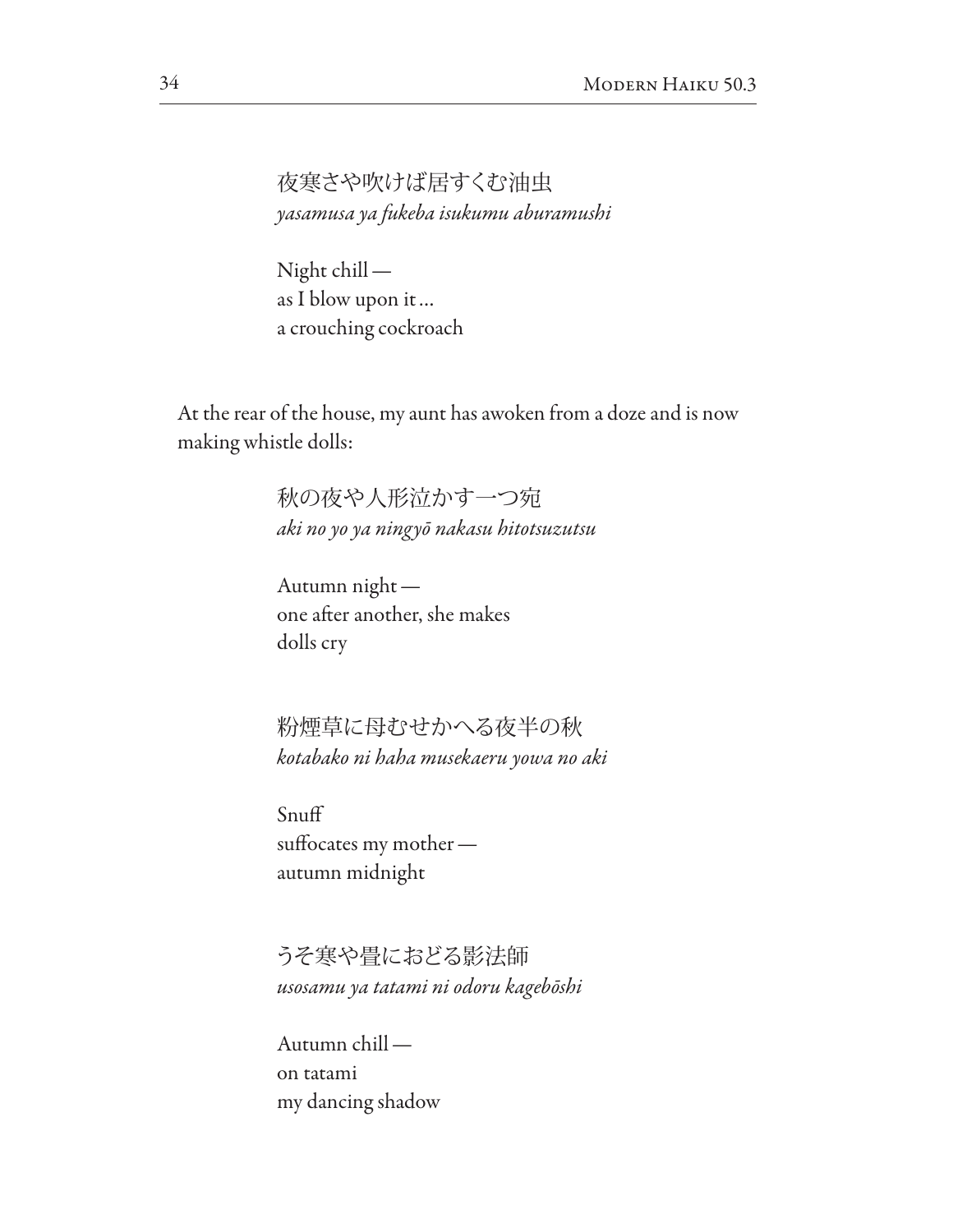夜寒さや吹けば居すくむ油虫 *yasamusa ya fukeba isukumu aburamushi*

Night chill as I blow upon it… a crouching cockroach

At the rear of the house, my aunt has awoken from a doze and is now making whistle dolls:

> 秋の夜や人形泣かす一つ宛 *aki no yo ya ningy*ō *nakasu hitotsuzutsu*

Autumn night one afer another, she makes dolls cry

粉煙草に母むせかへる夜半の秋 *kotabako ni haha musekaeru yowa no aki*

Snuf suffocates my motherautumn midnight

うそ寒や畳におどる影法師 *usosamu ya tatami ni odoru kageb*ō*shi*

Autumn chill on tatami my dancing shadow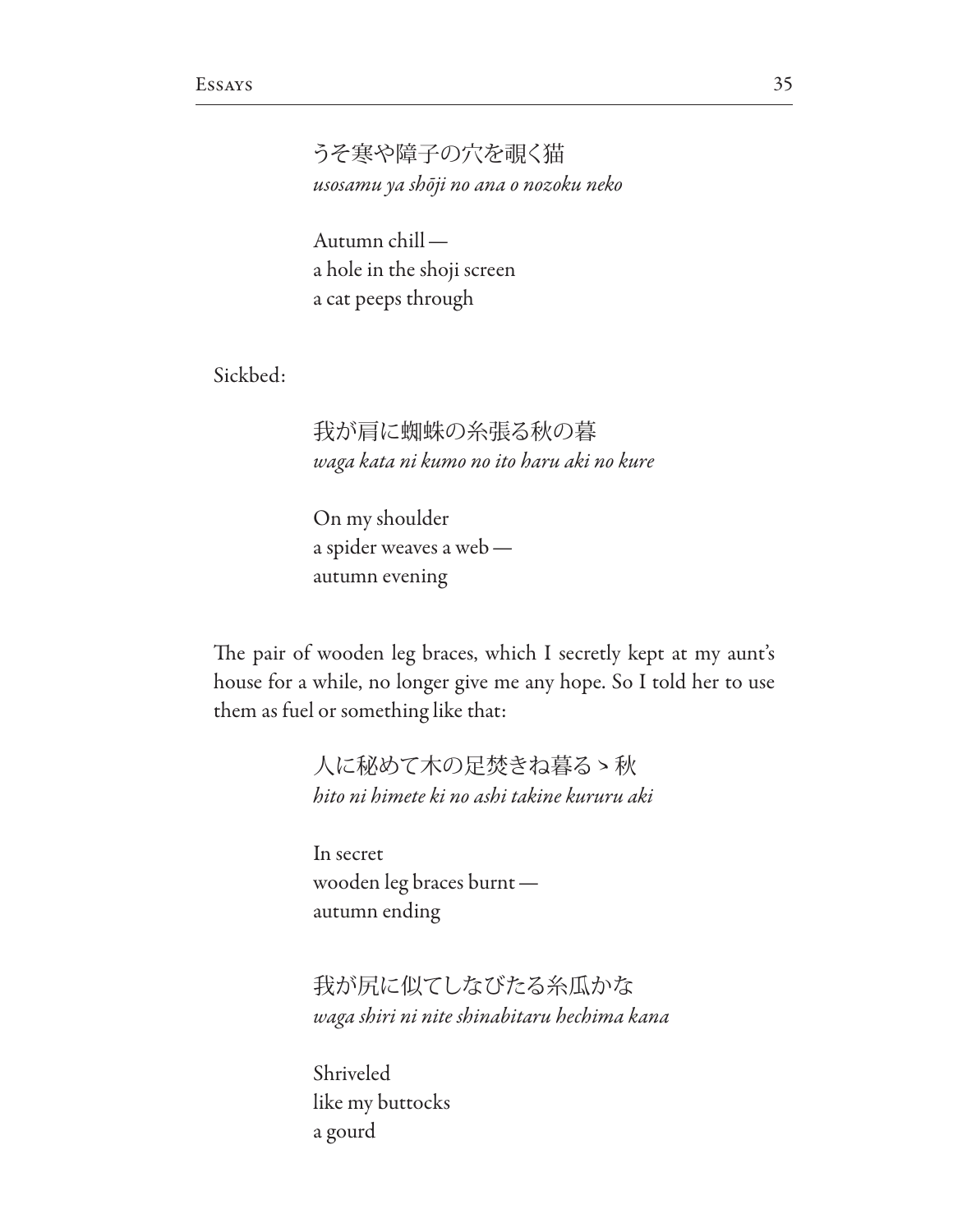うそ寒や障子の穴を覗く猫 *usosamu ya sh*ō*ji no ana o nozoku neko*

Autumn chill a hole in the shoji screen a cat peeps through

Sickbed:

# 我が肩に蜘蛛の糸張る秋の暮 *waga kata ni kumo no ito haru aki no kure*

On my shoulder a spider weaves a web autumn evening

The pair of wooden leg braces, which I secretly kept at my aunt's house for a while, no longer give me any hope. So I told her to use them as fuel or something like that:

> 人に秘めて木の足焚きね暮るゝ秋 *hito ni himete ki no ashi takine kururu aki*

In secret wooden leg braces burnt autumn ending

我が尻に似てしなびたる糸瓜かな *waga shiri ni nite shinabitaru hechima kana*

Shriveled like my buttocks a gourd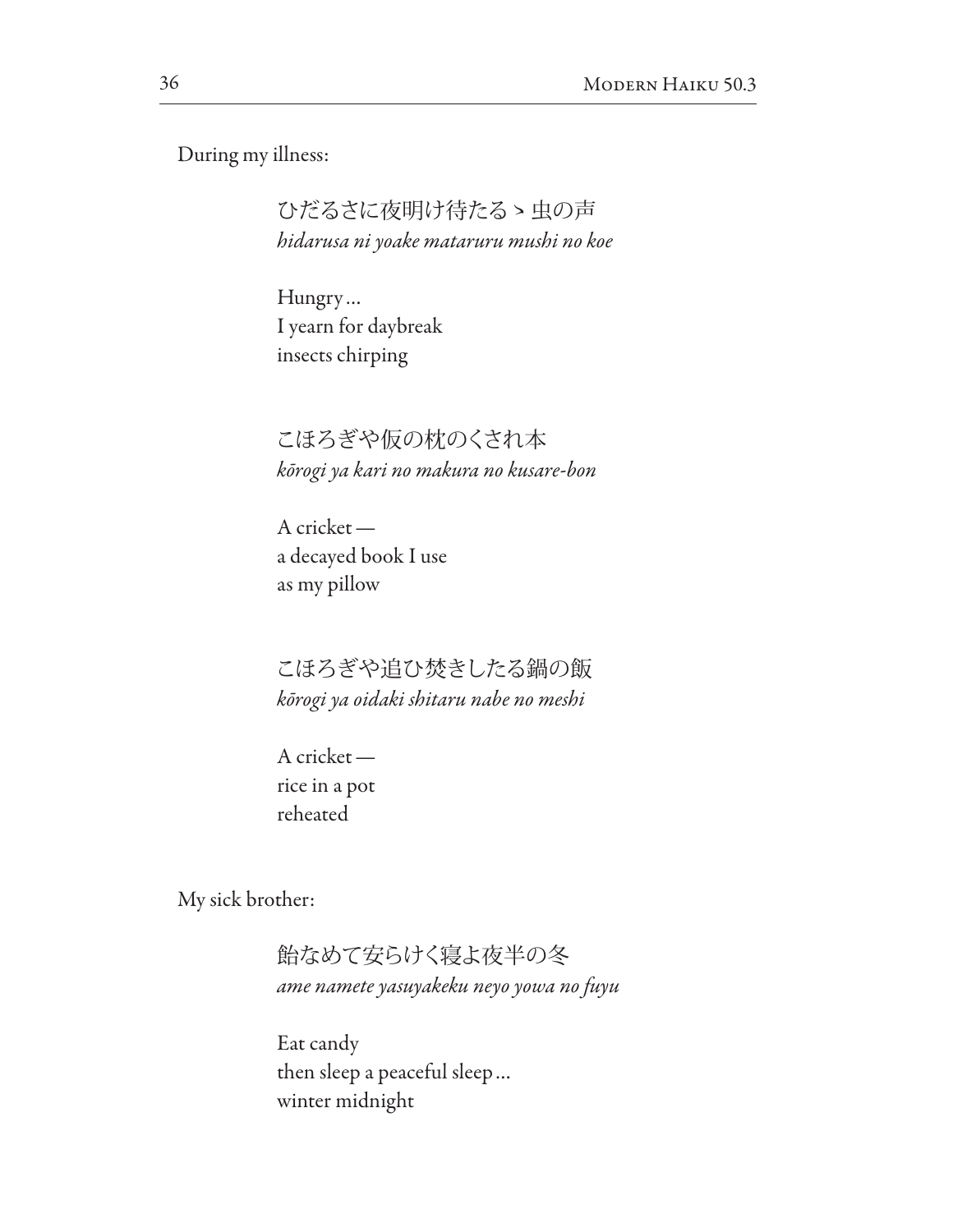During my illness:

ひだるさに夜明け待たるゝ虫の声 *hidarusa ni yoake mataruru mushi no koe*

Hungry… I yearn for daybreak insects chirping

こほろぎや仮の枕のくされ本 *k*ō*rogi ya kari no makura no kusare-bon*

A cricket a decayed book I use as my pillow

こほろぎや追ひ焚きしたる鍋の飯 *k*ō*rogi ya oidaki shitaru nabe no meshi*

A cricket rice in a pot reheated

My sick brother:

飴なめて安らけく寝よ夜半の冬 *ame namete yasuyakeku neyo yowa no fuyu*

Eat candy then sleep a peaceful sleep… winter midnight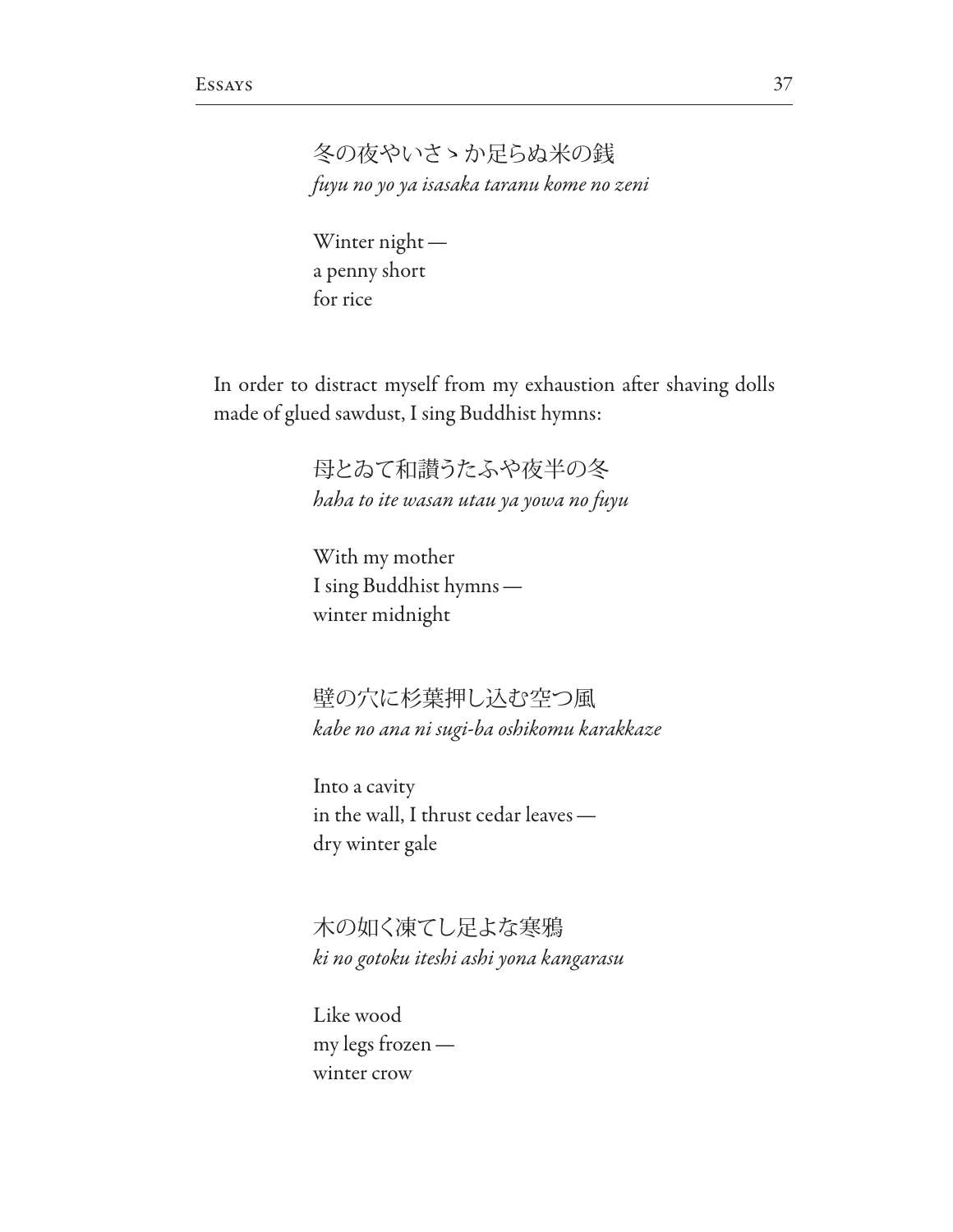冬の夜やいさゝか足らぬ米の銭 fuyu no yo ya isasaka taranu kome no zeni

Winter night a penny short for rice

In order to distract myself from my exhaustion after shaving dolls made of glued sawdust, I sing Buddhist hymns:

> 母とゐて和譖うたふや夜半の冬 haha to ite wasan utau ya yowa no fuyu

With my mother I sing Buddhist hymns winter midnight

壁の穴に杉葉押し込む空つ風 kabe no ana ni sugi-ba oshikomu karakkaze

Into a cavity in the wall, I thrust cedar leaves dry winter gale

木の如く凍てし足よな寒鴉 ki no gotoku iteshi ashi yona kangarasu

Like wood my legs frozen winter crow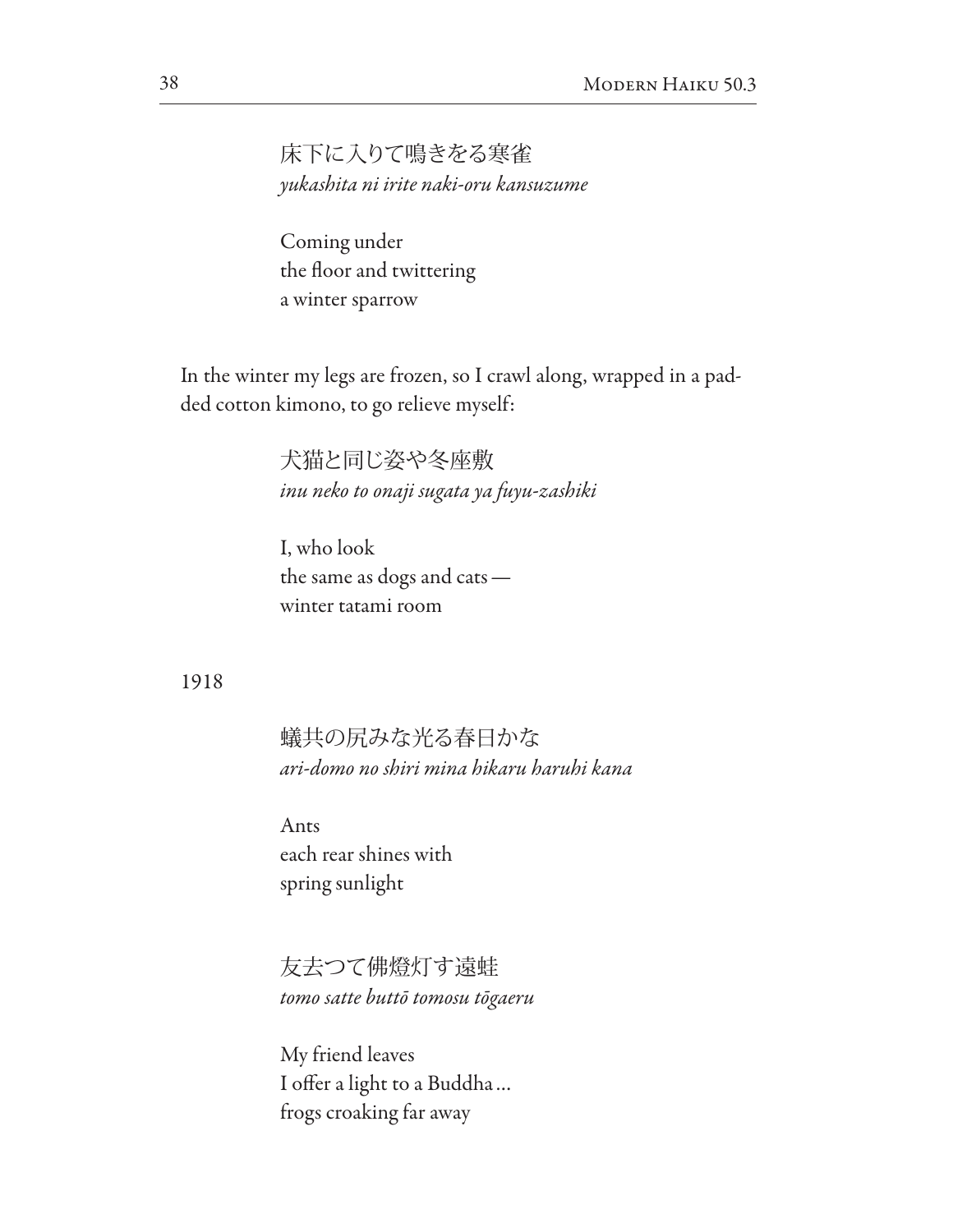床下に入りて鳴きをる寒雀 *yukashita ni irite naki-oru kansuzume*

Coming under the floor and twittering a winter sparrow

In the winter my legs are frozen, so I crawl along, wrapped in a padded cotton kimono, to go relieve myself:

> 犬猫と同じ姿や冬座敷 *inu neko to onaji sugata ya fuyu-zashiki*

I, who look the same as dogs and cats winter tatami room

#### 1918

蟻共の尻みな光る春日かな *ari-domo no shiri mina hikaru haruhi kana*

Ants each rear shines with spring sunlight

友去つて佛燈灯す遠蛙 *tomo satte butt*ō *tomosu t*ō*gaeru*

My friend leaves I offer a light to a Buddha... frogs croaking far away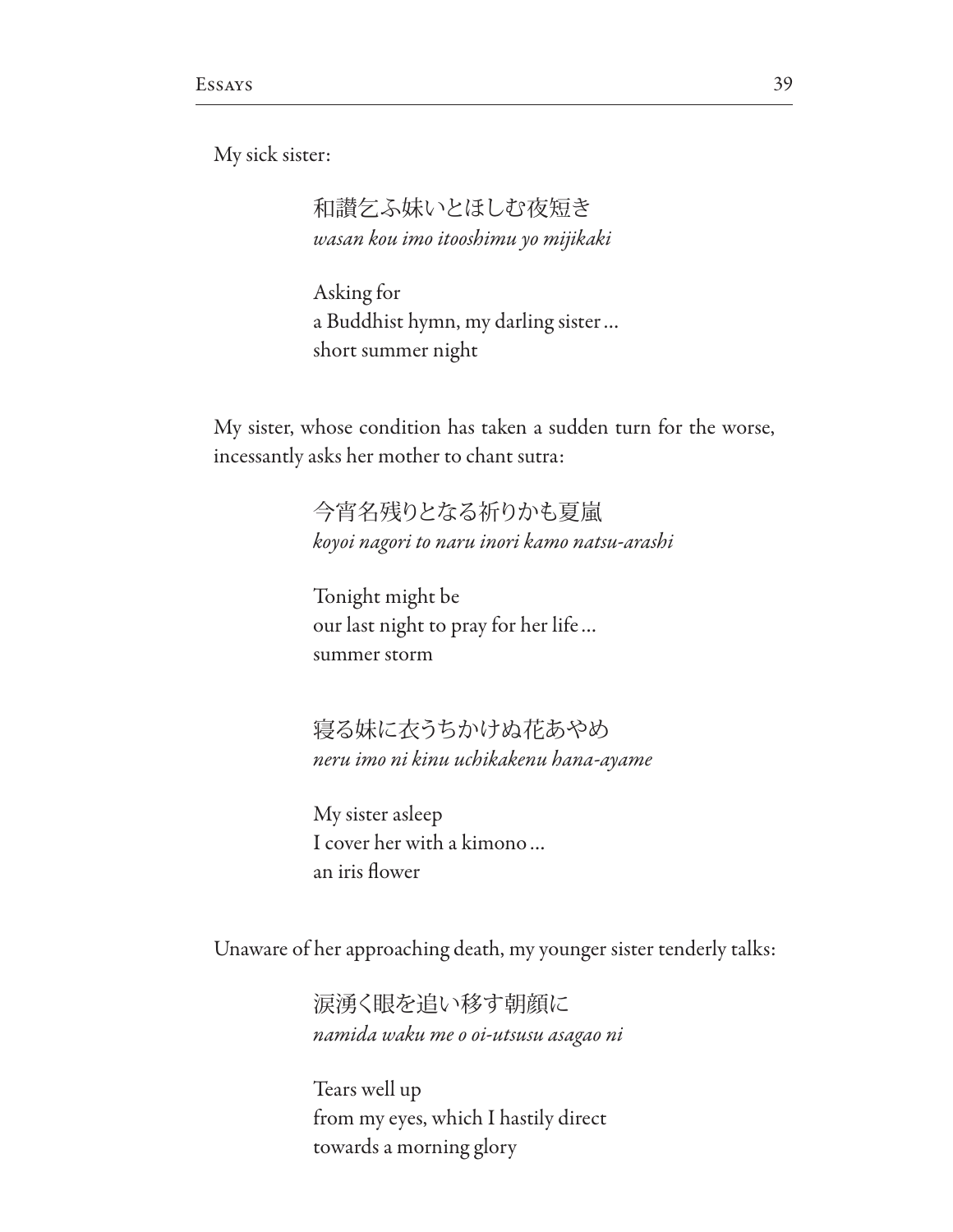My sick sister:

和讃乞ふ妹いとほしむ夜短き *wasan kou imo itooshimu yo mijikaki*

Asking for a Buddhist hymn, my darling sister… short summer night

My sister, whose condition has taken a sudden turn for the worse, incessantly asks her mother to chant sutra:

> 今宵名残りとなる祈りかも夏嵐 *koyoi nagori to naru inori kamo natsu-arashi*

Tonight might be our last night to pray for her life… summer storm

寝る妹に衣うちかけぬ花あやめ *neru imo ni kinu uchikakenu hana-ayame*

My sister asleep I cover her with a kimono… an iris fower

Unaware of her approaching death, my younger sister tenderly talks:

涙湧く眼を追い移す朝顔に *namida waku me o oi-utsusu asagao ni*

Tears well up from my eyes, which I hastily direct towards a morning glory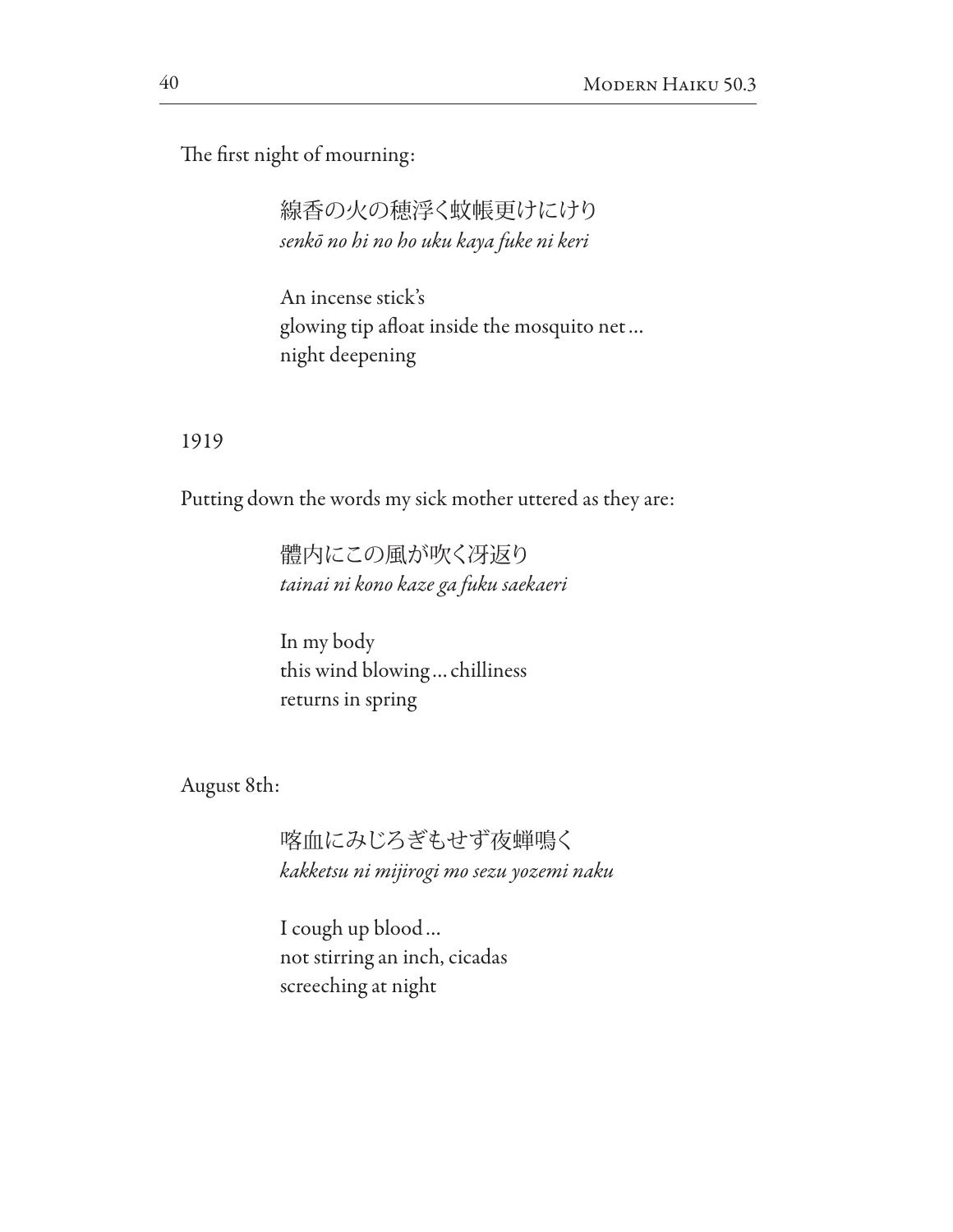The first night of mourning:

線香の火の穂浮く蚊帳更けにけり *senk*ō *no hi no ho uku kaya fuke ni keri*

An incense stick's glowing tip afoat inside the mosquito net… night deepening

### 1919

Putting down the words my sick mother uttered as they are:

體内にこの風が吹く冴返り *tainai ni kono kaze ga fuku saekaeri*

In my body this wind blowing…chilliness returns in spring

August 8th:

喀血にみじろぎもせず夜蝉鳴く *kakketsu ni mijirogi mo sezu yozemi naku*

I cough up blood… not stirring an inch, cicadas screeching at night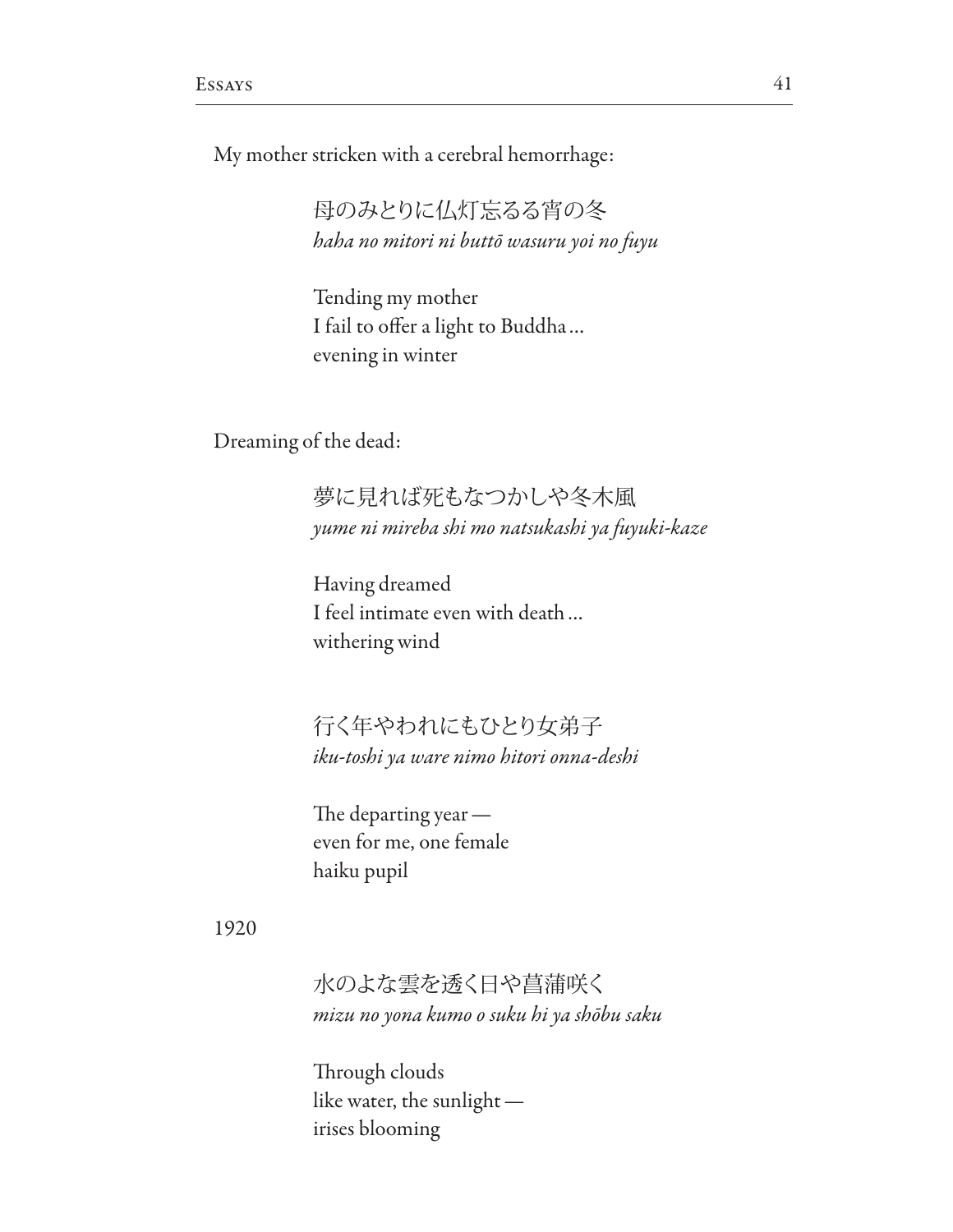My mother stricken with a cerebral hemorrhage:

母のみとりに仏灯忘るる宵の冬 *haha no mitori ni butt*ō *wasuru yoi no fuyu*

Tending my mother I fail to offer a light to Buddha ... evening in winter

Dreaming of the dead:

夢に見れば死もなつかしや冬木風 *yume ni mireba shi mo natsukashi ya fuyuki-kaze*

Having dreamed I feel intimate even with death… withering wind

行く年やわれにもひとり女弟子 *iku-toshi ya ware nimo hitori onna-deshi*

The departing year even for me, one female haiku pupil

1920

水のよな雲を透く日や菖蒲咲く *mizu no yona kumo o suku hi ya sh*ō*bu saku*

Through clouds like water, the sunlight irises blooming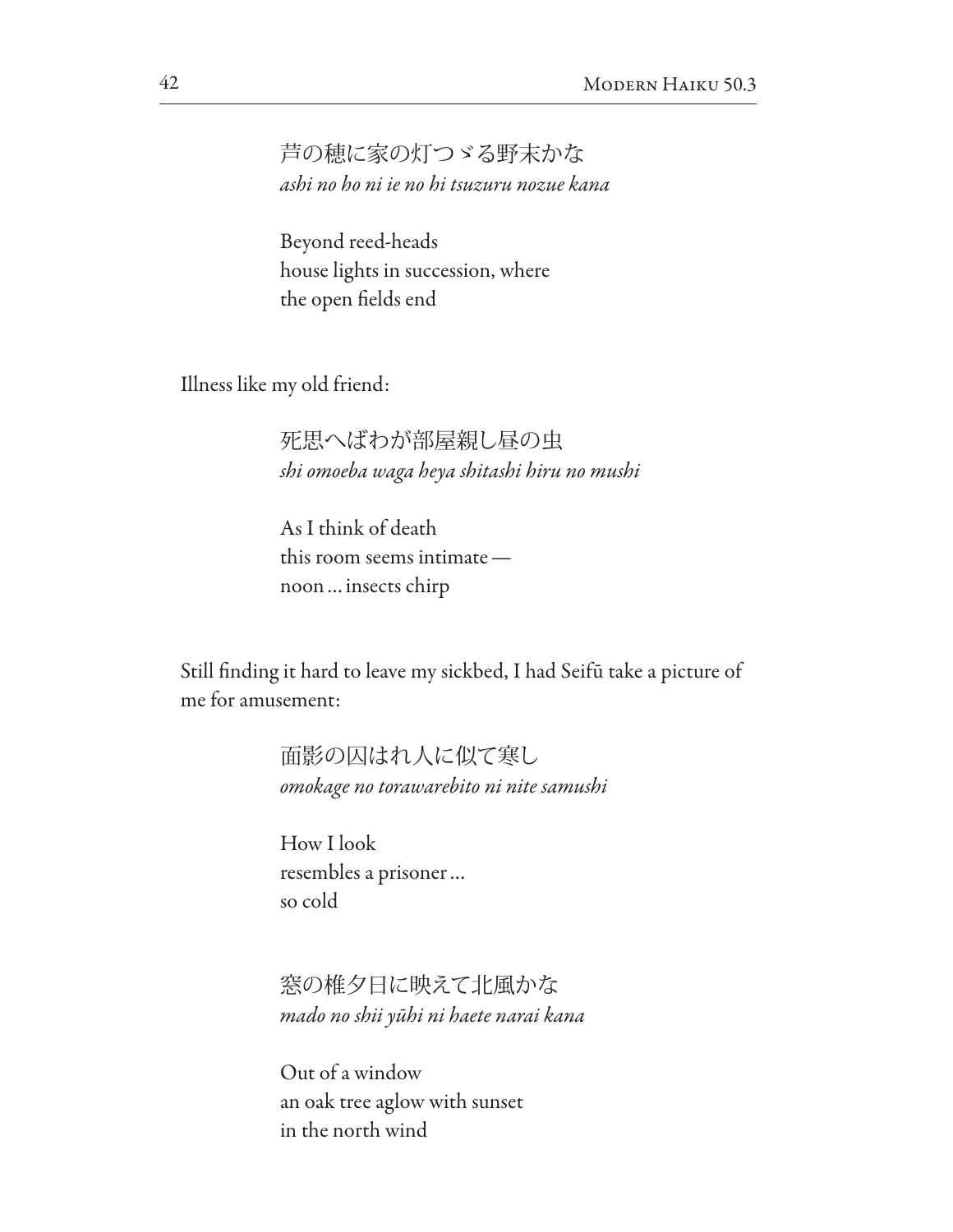芦の穂に家の灯つゞる野末かな *ashi no ho ni ie no hi tsuzuru nozue kana*

Beyond reed-heads house lights in succession, where the open felds end

Illness like my old friend:

死思へばわが部屋親し昼の虫 *shi omoeba waga heya shitashi hiru no mushi*

As I think of death this room seems intimate noon…insects chirp

Still fnding it hard to leave my sickbed, I had Seifū take a picture of me for amusement:

> 面影の囚はれ人に似て寒し *omokage no torawarebito ni nite samushi*

How I look resembles a prisoner… so cold

窓の椎夕日に映えて北風かな *mado no shii y*ū*hi ni haete narai kana*

Out of a window an oak tree aglow with sunset in the north wind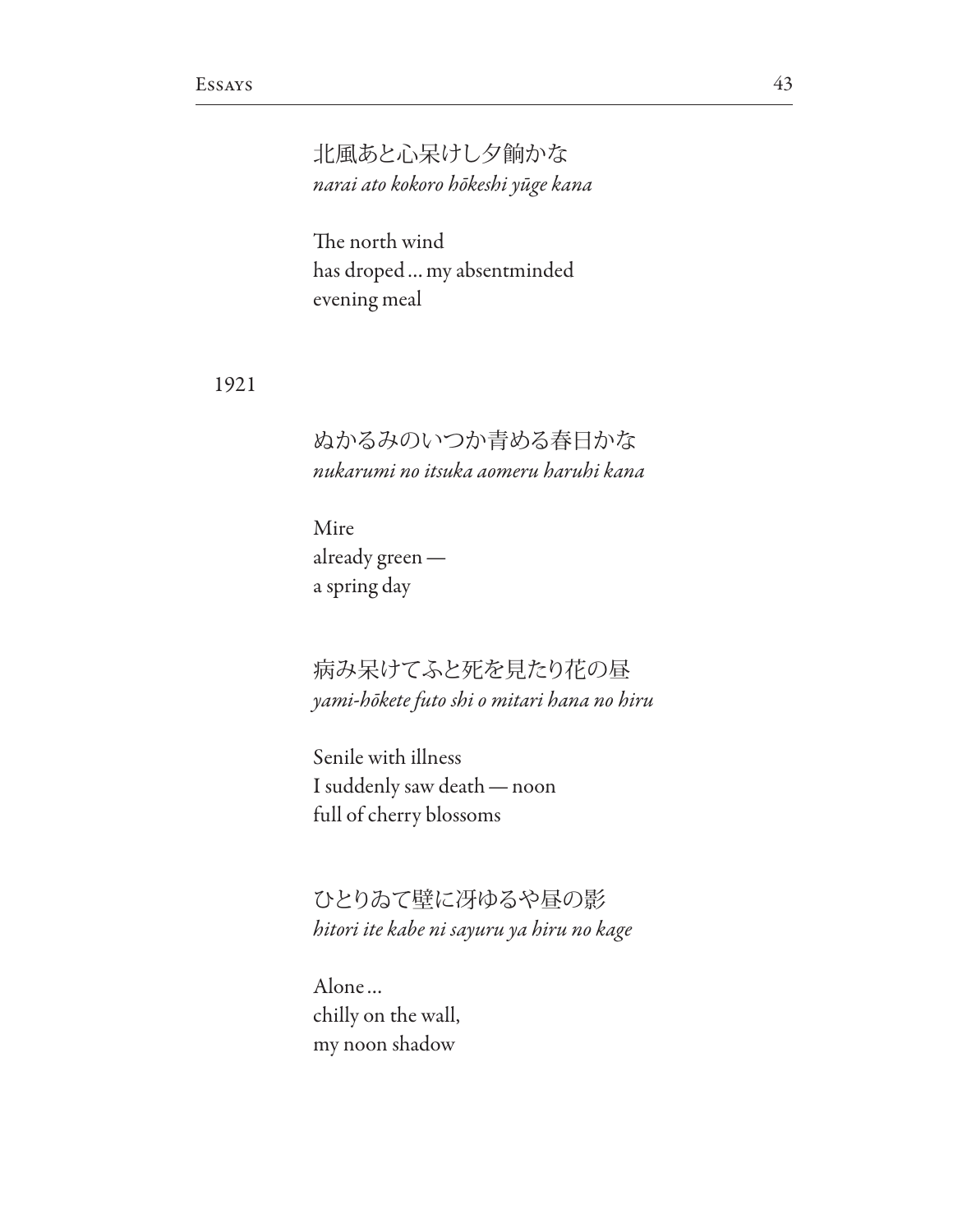北風あと心呆けし夕餉かな *narai ato kokoro h*ō*keshi y*ū*ge kana*

The north wind has droped…my absentminded evening meal

1921

ぬかるみのいつか青める春日かな *nukarumi no itsuka aomeru haruhi kana*

Mire already green a spring day

病み呆けてふと死を見たり花の昼 *yami-h*ō*kete futo shi o mitari hana no hiru*

Senile with illness I suddenly saw death—noon full of cherry blossoms

ひとりゐて壁に冴ゆるや昼の影 *hitori ite kabe ni sayuru ya hiru no kage*

Alone… chilly on the wall, my noon shadow